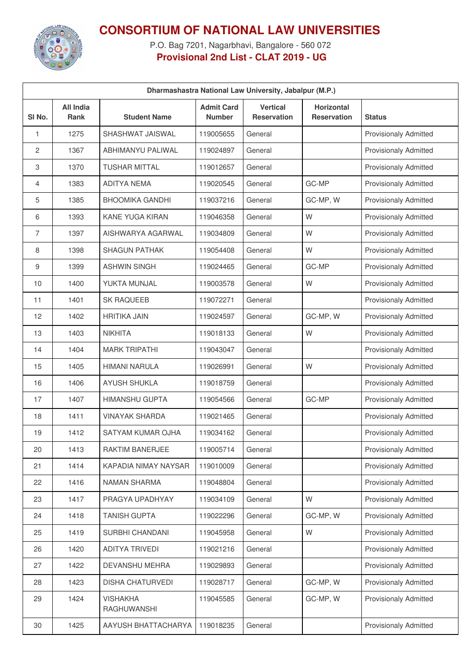

## **CONSORTIUM OF NATIONAL LAW UNIVERSITIES**

P.O. Bag 7201, Nagarbhavi, Bangalore - 560 072 **Provisional 2nd List - CLAT 2019 - UG**

| Dharmashastra National Law University, Jabalpur (M.P.) |                                 |                                       |                                    |                                       |                                         |                              |  |  |
|--------------------------------------------------------|---------------------------------|---------------------------------------|------------------------------------|---------------------------------------|-----------------------------------------|------------------------------|--|--|
| SI <sub>No.</sub>                                      | <b>All India</b><br><b>Rank</b> | <b>Student Name</b>                   | <b>Admit Card</b><br><b>Number</b> | <b>Vertical</b><br><b>Reservation</b> | <b>Horizontal</b><br><b>Reservation</b> | <b>Status</b>                |  |  |
| 1                                                      | 1275                            | SHASHWAT JAISWAL                      | 119005655                          | General                               |                                         | <b>Provisionaly Admitted</b> |  |  |
| $\mathbf{2}^{\prime}$                                  | 1367                            | <b>ABHIMANYU PALIWAL</b>              | 119024897                          | General                               |                                         | <b>Provisionaly Admitted</b> |  |  |
| 3                                                      | 1370                            | <b>TUSHAR MITTAL</b>                  | 119012657                          | General                               |                                         | <b>Provisionaly Admitted</b> |  |  |
| 4                                                      | 1383                            | <b>ADITYA NEMA</b>                    | 119020545                          | General                               | GC-MP                                   | <b>Provisionaly Admitted</b> |  |  |
| 5                                                      | 1385                            | <b>BHOOMIKA GANDHI</b>                | 119037216                          | General                               | GC-MP, W                                | <b>Provisionaly Admitted</b> |  |  |
| 6                                                      | 1393                            | <b>KANE YUGA KIRAN</b>                | 119046358                          | General                               | W                                       | <b>Provisionaly Admitted</b> |  |  |
| $\overline{7}$                                         | 1397                            | AISHWARYA AGARWAL                     | 119034809                          | General                               | W                                       | <b>Provisionaly Admitted</b> |  |  |
| 8                                                      | 1398                            | <b>SHAGUN PATHAK</b>                  | 119054408                          | General                               | W                                       | <b>Provisionaly Admitted</b> |  |  |
| 9                                                      | 1399                            | <b>ASHWIN SINGH</b>                   | 119024465                          | General                               | GC-MP                                   | <b>Provisionaly Admitted</b> |  |  |
| 10                                                     | 1400                            | YUKTA MUNJAL                          | 119003578                          | General                               | W                                       | <b>Provisionaly Admitted</b> |  |  |
| 11                                                     | 1401                            | <b>SK RAQUEEB</b>                     | 119072271                          | General                               |                                         | <b>Provisionaly Admitted</b> |  |  |
| 12                                                     | 1402                            | <b>HRITIKA JAIN</b>                   | 119024597                          | General                               | GC-MP, W                                | <b>Provisionaly Admitted</b> |  |  |
| 13                                                     | 1403                            | <b>NIKHITA</b>                        | 119018133                          | General                               | W                                       | <b>Provisionaly Admitted</b> |  |  |
| 14                                                     | 1404                            | <b>MARK TRIPATHI</b>                  | 119043047                          | General                               |                                         | <b>Provisionaly Admitted</b> |  |  |
| 15                                                     | 1405                            | <b>HIMANI NARULA</b>                  | 119026991                          | General                               | W                                       | <b>Provisionaly Admitted</b> |  |  |
| 16                                                     | 1406                            | <b>AYUSH SHUKLA</b>                   | 119018759                          | General                               |                                         | <b>Provisionaly Admitted</b> |  |  |
| 17                                                     | 1407                            | <b>HIMANSHU GUPTA</b>                 | 119054566                          | General                               | GC-MP                                   | <b>Provisionaly Admitted</b> |  |  |
| 18                                                     | 1411                            | <b>VINAYAK SHARDA</b>                 | 119021465                          | General                               |                                         | <b>Provisionaly Admitted</b> |  |  |
| 19                                                     | 1412                            | SATYAM KUMAR OJHA                     | 119034162                          | General                               |                                         | <b>Provisionaly Admitted</b> |  |  |
| 20                                                     | 1413                            | RAKTIM BANERJEE                       | 119005714                          | General                               |                                         | <b>Provisionaly Admitted</b> |  |  |
| 21                                                     | 1414                            | KAPADIA NIMAY NAYSAR                  | 119010009                          | General                               |                                         | <b>Provisionaly Admitted</b> |  |  |
| 22                                                     | 1416                            | NAMAN SHARMA                          | 119048804                          | General                               |                                         | Provisionaly Admitted        |  |  |
| 23                                                     | 1417                            | PRAGYA UPADHYAY                       | 119034109                          | General                               | W                                       | <b>Provisionaly Admitted</b> |  |  |
| 24                                                     | 1418                            | <b>TANISH GUPTA</b>                   | 119022296                          | General                               | GC-MP, W                                | <b>Provisionaly Admitted</b> |  |  |
| 25                                                     | 1419                            | SURBHI CHANDANI                       | 119045958                          | General                               | W                                       | Provisionaly Admitted        |  |  |
| 26                                                     | 1420                            | ADITYA TRIVEDI                        | 119021216                          | General                               |                                         | Provisionaly Admitted        |  |  |
| 27                                                     | 1422                            | DEVANSHU MEHRA                        | 119029893                          | General                               |                                         | <b>Provisionaly Admitted</b> |  |  |
| 28                                                     | 1423                            | <b>DISHA CHATURVEDI</b>               | 119028717                          | General                               | GC-MP, W                                | Provisionaly Admitted        |  |  |
| 29                                                     | 1424                            | <b>VISHAKHA</b><br><b>RAGHUWANSHI</b> | 119045585                          | General                               | GC-MP, W                                | <b>Provisionaly Admitted</b> |  |  |
| 30                                                     | 1425                            | AAYUSH BHATTACHARYA                   | 119018235                          | General                               |                                         | <b>Provisionaly Admitted</b> |  |  |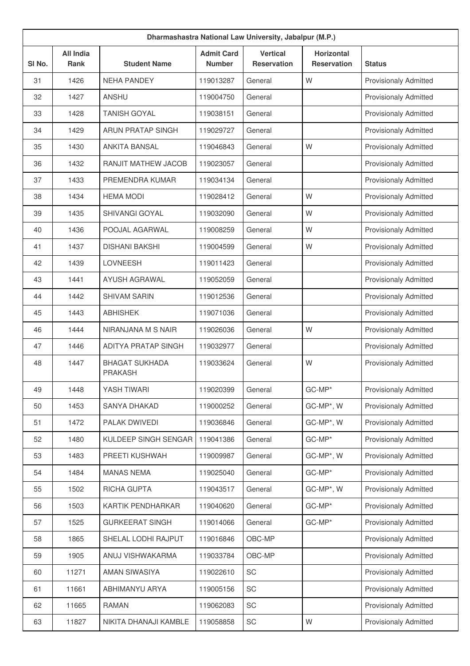| Dharmashastra National Law University, Jabalpur (M.P.) |                                 |                                         |                                    |                                       |                                  |                              |  |  |
|--------------------------------------------------------|---------------------------------|-----------------------------------------|------------------------------------|---------------------------------------|----------------------------------|------------------------------|--|--|
| SI No.                                                 | <b>All India</b><br><b>Rank</b> | <b>Student Name</b>                     | <b>Admit Card</b><br><b>Number</b> | <b>Vertical</b><br><b>Reservation</b> | Horizontal<br><b>Reservation</b> | <b>Status</b>                |  |  |
| 31                                                     | 1426                            | <b>NEHA PANDEY</b>                      | 119013287                          | General                               | W                                | <b>Provisionaly Admitted</b> |  |  |
| 32                                                     | 1427                            | <b>ANSHU</b>                            | 119004750                          | General                               |                                  | <b>Provisionaly Admitted</b> |  |  |
| 33                                                     | 1428                            | <b>TANISH GOYAL</b>                     | 119038151                          | General                               |                                  | <b>Provisionaly Admitted</b> |  |  |
| 34                                                     | 1429                            | <b>ARUN PRATAP SINGH</b>                | 119029727                          | General                               |                                  | <b>Provisionaly Admitted</b> |  |  |
| 35                                                     | 1430                            | <b>ANKITA BANSAL</b>                    | 119046843                          | General                               | W                                | <b>Provisionaly Admitted</b> |  |  |
| 36                                                     | 1432                            | <b>RANJIT MATHEW JACOB</b>              | 119023057                          | General                               |                                  | Provisionaly Admitted        |  |  |
| 37                                                     | 1433                            | PREMENDRA KUMAR                         | 119034134                          | General                               |                                  | <b>Provisionaly Admitted</b> |  |  |
| 38                                                     | 1434                            | <b>HEMA MODI</b>                        | 119028412                          | General                               | W                                | <b>Provisionaly Admitted</b> |  |  |
| 39                                                     | 1435                            | <b>SHIVANGI GOYAL</b>                   | 119032090                          | General                               | W                                | <b>Provisionaly Admitted</b> |  |  |
| 40                                                     | 1436                            | POOJAL AGARWAL                          | 119008259                          | General                               | W                                | Provisionaly Admitted        |  |  |
| 41                                                     | 1437                            | <b>DISHANI BAKSHI</b>                   | 119004599                          | General                               | W                                | <b>Provisionaly Admitted</b> |  |  |
| 42                                                     | 1439                            | <b>LOVNEESH</b>                         | 119011423                          | General                               |                                  | <b>Provisionaly Admitted</b> |  |  |
| 43                                                     | 1441                            | <b>AYUSH AGRAWAL</b>                    | 119052059                          | General                               |                                  | <b>Provisionaly Admitted</b> |  |  |
| 44                                                     | 1442                            | <b>SHIVAM SARIN</b>                     | 119012536                          | General                               |                                  | <b>Provisionaly Admitted</b> |  |  |
| 45                                                     | 1443                            | <b>ABHISHEK</b>                         | 119071036                          | General                               |                                  | <b>Provisionaly Admitted</b> |  |  |
| 46                                                     | 1444                            | NIRANJANA M S NAIR                      | 119026036                          | General                               | W                                | <b>Provisionaly Admitted</b> |  |  |
| 47                                                     | 1446                            | ADITYA PRATAP SINGH                     | 119032977                          | General                               |                                  | <b>Provisionaly Admitted</b> |  |  |
| 48                                                     | 1447                            | <b>BHAGAT SUKHADA</b><br><b>PRAKASH</b> | 119033624                          | General                               | W                                | <b>Provisionaly Admitted</b> |  |  |
| 49                                                     | 1448                            | YASH TIWARI                             | 119020399                          | General                               | GC-MP*                           | <b>Provisionaly Admitted</b> |  |  |
| 50                                                     | 1453                            | SANYA DHAKAD                            | 119000252                          | General                               | GC-MP*, W                        | <b>Provisionaly Admitted</b> |  |  |
| 51                                                     | 1472                            | PALAK DWIVEDI                           | 119036846                          | General                               | GC-MP*, W                        | <b>Provisionaly Admitted</b> |  |  |
| 52                                                     | 1480                            | KULDEEP SINGH SENGAR                    | 119041386                          | General                               | GC-MP*                           | <b>Provisionaly Admitted</b> |  |  |
| 53                                                     | 1483                            | PREETI KUSHWAH                          | 119009987                          | General                               | GC-MP*, W                        | <b>Provisionaly Admitted</b> |  |  |
| 54                                                     | 1484                            | <b>MANAS NEMA</b>                       | 119025040                          | General                               | GC-MP*                           | <b>Provisionaly Admitted</b> |  |  |
| 55                                                     | 1502                            | RICHA GUPTA                             | 119043517                          | General                               | GC-MP*, W                        | <b>Provisionaly Admitted</b> |  |  |
| 56                                                     | 1503                            | KARTIK PENDHARKAR                       | 119040620                          | General                               | GC-MP*                           | <b>Provisionaly Admitted</b> |  |  |
| 57                                                     | 1525                            | <b>GURKEERAT SINGH</b>                  | 119014066                          | General                               | GC-MP*                           | <b>Provisionaly Admitted</b> |  |  |
| 58                                                     | 1865                            | SHELAL LODHI RAJPUT                     | 119016846                          | OBC-MP                                |                                  | Provisionaly Admitted        |  |  |
| 59                                                     | 1905                            | ANUJ VISHWAKARMA                        | 119033784                          | OBC-MP                                |                                  | <b>Provisionaly Admitted</b> |  |  |
| 60                                                     | 11271                           | AMAN SIWASIYA                           | 119022610                          | SC                                    |                                  | <b>Provisionaly Admitted</b> |  |  |
| 61                                                     | 11661                           | ABHIMANYU ARYA                          | 119005156                          | SC                                    |                                  | <b>Provisionaly Admitted</b> |  |  |
| 62                                                     | 11665                           | <b>RAMAN</b>                            | 119062083                          | SC                                    |                                  | Provisionaly Admitted        |  |  |
| 63                                                     | 11827                           | NIKITA DHANAJI KAMBLE                   | 119058858                          | SC                                    | W                                | Provisionaly Admitted        |  |  |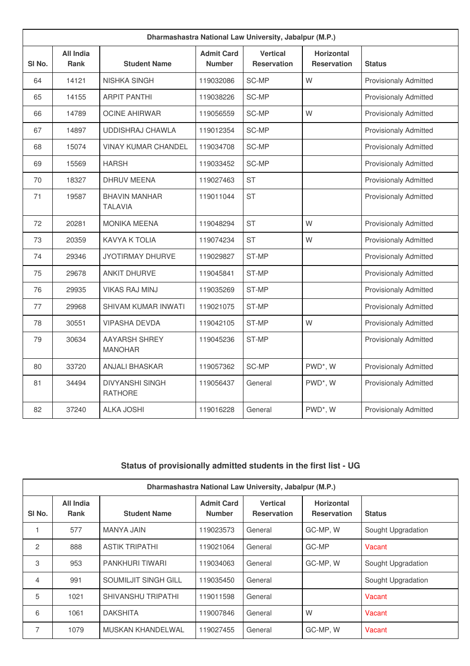| Dharmashastra National Law University, Jabalpur (M.P.) |                          |                                          |                                    |                                       |                                  |                              |  |  |
|--------------------------------------------------------|--------------------------|------------------------------------------|------------------------------------|---------------------------------------|----------------------------------|------------------------------|--|--|
| SI <sub>No.</sub>                                      | All India<br><b>Rank</b> | <b>Student Name</b>                      | <b>Admit Card</b><br><b>Number</b> | <b>Vertical</b><br><b>Reservation</b> | Horizontal<br><b>Reservation</b> | <b>Status</b>                |  |  |
| 64                                                     | 14121                    | NISHKA SINGH                             | 119032086                          | SC-MP                                 | W                                | <b>Provisionaly Admitted</b> |  |  |
| 65                                                     | 14155                    | <b>ARPIT PANTHI</b>                      | 119038226                          | SC-MP                                 |                                  | <b>Provisionaly Admitted</b> |  |  |
| 66                                                     | 14789                    | <b>OCINE AHIRWAR</b>                     | 119056559                          | SC-MP                                 | W                                | <b>Provisionaly Admitted</b> |  |  |
| 67                                                     | 14897                    | <b>UDDISHRAJ CHAWLA</b>                  | 119012354                          | SC-MP                                 |                                  | <b>Provisionaly Admitted</b> |  |  |
| 68                                                     | 15074                    | <b>VINAY KUMAR CHANDEL</b>               | 119034708                          | SC-MP                                 |                                  | <b>Provisionaly Admitted</b> |  |  |
| 69                                                     | 15569                    | <b>HARSH</b>                             | 119033452                          | SC-MP                                 |                                  | <b>Provisionaly Admitted</b> |  |  |
| 70                                                     | 18327                    | <b>DHRUV MEENA</b>                       | 119027463                          | <b>ST</b>                             |                                  | <b>Provisionaly Admitted</b> |  |  |
| 71                                                     | 19587                    | <b>BHAVIN MANHAR</b><br><b>TALAVIA</b>   | 119011044                          | <b>ST</b>                             |                                  | <b>Provisionaly Admitted</b> |  |  |
| 72                                                     | 20281                    | <b>MONIKA MEENA</b>                      | 119048294                          | <b>ST</b>                             | W                                | <b>Provisionaly Admitted</b> |  |  |
| 73                                                     | 20359                    | <b>KAVYA K TOLIA</b>                     | 119074234                          | <b>ST</b>                             | W                                | <b>Provisionaly Admitted</b> |  |  |
| 74                                                     | 29346                    | <b>JYOTIRMAY DHURVE</b>                  | 119029827                          | ST-MP                                 |                                  | <b>Provisionaly Admitted</b> |  |  |
| 75                                                     | 29678                    | <b>ANKIT DHURVE</b>                      | 119045841                          | ST-MP                                 |                                  | <b>Provisionaly Admitted</b> |  |  |
| 76                                                     | 29935                    | <b>VIKAS RAJ MINJ</b>                    | 119035269                          | ST-MP                                 |                                  | <b>Provisionaly Admitted</b> |  |  |
| 77                                                     | 29968                    | SHIVAM KUMAR INWATI                      | 119021075                          | ST-MP                                 |                                  | <b>Provisionaly Admitted</b> |  |  |
| 78                                                     | 30551                    | <b>VIPASHA DEVDA</b>                     | 119042105                          | ST-MP                                 | W                                | <b>Provisionaly Admitted</b> |  |  |
| 79                                                     | 30634                    | <b>AAYARSH SHREY</b><br><b>MANOHAR</b>   | 119045236                          | ST-MP                                 |                                  | <b>Provisionaly Admitted</b> |  |  |
| 80                                                     | 33720                    | <b>ANJALI BHASKAR</b>                    | 119057362                          | SC-MP                                 | PWD*, W                          | <b>Provisionaly Admitted</b> |  |  |
| 81                                                     | 34494                    | <b>DIVYANSHI SINGH</b><br><b>RATHORE</b> | 119056437                          | General                               | PWD*, W                          | <b>Provisionaly Admitted</b> |  |  |
| 82                                                     | 37240                    | <b>ALKA JOSHI</b>                        | 119016228                          | General                               | PWD*, W                          | <b>Provisionaly Admitted</b> |  |  |

## **Status of provisionally admitted students in the first list - UG**

| Dharmashastra National Law University, Jabalpur (M.P.) |                          |                           |                                    |                                       |                                         |                    |  |  |
|--------------------------------------------------------|--------------------------|---------------------------|------------------------------------|---------------------------------------|-----------------------------------------|--------------------|--|--|
| SI <sub>No.</sub>                                      | All India<br><b>Rank</b> | <b>Student Name</b>       | <b>Admit Card</b><br><b>Number</b> | <b>Vertical</b><br><b>Reservation</b> | <b>Horizontal</b><br><b>Reservation</b> | <b>Status</b>      |  |  |
|                                                        | 577                      | MANYA JAIN                | 119023573                          | General                               | GC-MP, W                                | Sought Upgradation |  |  |
| $\overline{2}$                                         | 888                      | <b>ASTIK TRIPATHI</b>     | 119021064                          | General                               | GC-MP                                   | Vacant             |  |  |
| 3                                                      | 953                      | <b>PANKHURI TIWARI</b>    | 119034063                          | General                               | GC-MP, W                                | Sought Upgradation |  |  |
| 4                                                      | 991                      | SOUMILJIT SINGH GILL      | 119035450                          | General                               |                                         | Sought Upgradation |  |  |
| 5                                                      | 1021                     | <b>SHIVANSHU TRIPATHI</b> | 119011598                          | General                               |                                         | Vacant             |  |  |
| 6                                                      | 1061                     | <b>DAKSHITA</b>           | 119007846                          | General                               | W                                       | Vacant             |  |  |
| 7                                                      | 1079                     | MUSKAN KHANDELWAL         | 119027455                          | General                               | GC-MP, W                                | Vacant             |  |  |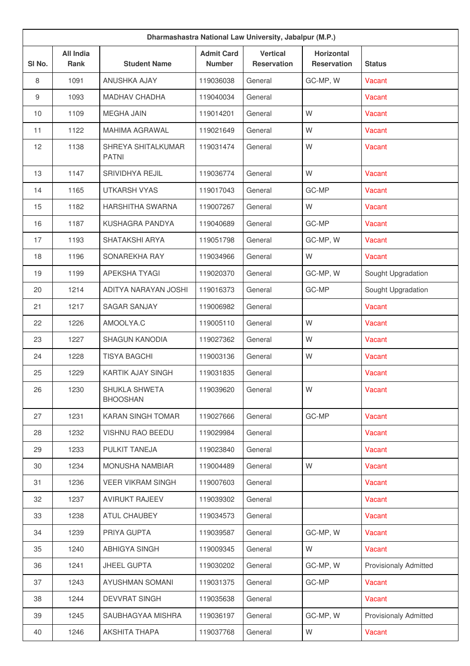| Dharmashastra National Law University, Jabalpur (M.P.) |                                 |                                    |                                    |                                       |                                         |                              |  |  |
|--------------------------------------------------------|---------------------------------|------------------------------------|------------------------------------|---------------------------------------|-----------------------------------------|------------------------------|--|--|
| SI No.                                                 | <b>All India</b><br><b>Rank</b> | <b>Student Name</b>                | <b>Admit Card</b><br><b>Number</b> | <b>Vertical</b><br><b>Reservation</b> | <b>Horizontal</b><br><b>Reservation</b> | <b>Status</b>                |  |  |
| 8                                                      | 1091                            | ANUSHKA AJAY                       | 119036038                          | General                               | GC-MP, W                                | Vacant                       |  |  |
| 9                                                      | 1093                            | <b>MADHAV CHADHA</b>               | 119040034                          | General                               |                                         | Vacant                       |  |  |
| 10                                                     | 1109                            | <b>MEGHA JAIN</b>                  | 119014201                          | General                               | W                                       | Vacant                       |  |  |
| 11                                                     | 1122                            | <b>MAHIMA AGRAWAL</b>              | 119021649                          | General                               | W                                       | Vacant                       |  |  |
| 12                                                     | 1138                            | SHREYA SHITALKUMAR<br><b>PATNI</b> | 119031474                          | General                               | W                                       | Vacant                       |  |  |
| 13                                                     | 1147                            | SRIVIDHYA REJIL                    | 119036774                          | General                               | W                                       | Vacant                       |  |  |
| 14                                                     | 1165                            | <b>UTKARSH VYAS</b>                | 119017043                          | General                               | GC-MP                                   | Vacant                       |  |  |
| 15                                                     | 1182                            | HARSHITHA SWARNA                   | 119007267                          | General                               | W                                       | Vacant                       |  |  |
| 16                                                     | 1187                            | KUSHAGRA PANDYA                    | 119040689                          | General                               | GC-MP                                   | Vacant                       |  |  |
| 17                                                     | 1193                            | SHATAKSHI ARYA                     | 119051798                          | General                               | GC-MP, W                                | Vacant                       |  |  |
| 18                                                     | 1196                            | SONAREKHA RAY                      | 119034966                          | General                               | W                                       | Vacant                       |  |  |
| 19                                                     | 1199                            | <b>APEKSHA TYAGI</b>               | 119020370                          | General                               | GC-MP, W                                | Sought Upgradation           |  |  |
| 20                                                     | 1214                            | ADITYA NARAYAN JOSHI               | 119016373                          | General                               | GC-MP                                   | Sought Upgradation           |  |  |
| 21                                                     | 1217                            | <b>SAGAR SANJAY</b>                | 119006982                          | General                               |                                         | Vacant                       |  |  |
| 22                                                     | 1226                            | AMOOLYA.C                          | 119005110                          | General                               | W                                       | Vacant                       |  |  |
| 23                                                     | 1227                            | <b>SHAGUN KANODIA</b>              | 119027362                          | General                               | W                                       | Vacant                       |  |  |
| 24                                                     | 1228                            | <b>TISYA BAGCHI</b>                | 119003136                          | General                               | W                                       | Vacant                       |  |  |
| 25                                                     | 1229                            | <b>KARTIK AJAY SINGH</b>           | 119031835                          | General                               |                                         | Vacant                       |  |  |
| 26                                                     | 1230                            | SHUKLA SHWETA<br><b>BHOOSHAN</b>   | 119039620                          | General                               | W                                       | Vacant                       |  |  |
| 27                                                     | 1231                            | KARAN SINGH TOMAR                  | 119027666                          | General                               | GC-MP                                   | Vacant                       |  |  |
| 28                                                     | 1232                            | VISHNU RAO BEEDU                   | 119029984                          | General                               |                                         | Vacant                       |  |  |
| 29                                                     | 1233                            | PULKIT TANEJA                      | 119023840                          | General                               |                                         | Vacant                       |  |  |
| 30                                                     | 1234                            | MONUSHA NAMBIAR                    | 119004489                          | General                               | W                                       | Vacant                       |  |  |
| 31                                                     | 1236                            | <b>VEER VIKRAM SINGH</b>           | 119007603                          | General                               |                                         | Vacant                       |  |  |
| 32                                                     | 1237                            | <b>AVIRUKT RAJEEV</b>              | 119039302                          | General                               |                                         | Vacant                       |  |  |
| 33                                                     | 1238                            | <b>ATUL CHAUBEY</b>                | 119034573                          | General                               |                                         | Vacant                       |  |  |
| 34                                                     | 1239                            | PRIYA GUPTA                        | 119039587                          | General                               | GC-MP, W                                | Vacant                       |  |  |
| 35                                                     | 1240                            | ABHIGYA SINGH                      | 119009345                          | General                               | W                                       | Vacant                       |  |  |
| 36                                                     | 1241                            | <b>JHEEL GUPTA</b>                 | 119030202                          | General                               | GC-MP, W                                | <b>Provisionaly Admitted</b> |  |  |
| 37                                                     | 1243                            | <b>AYUSHMAN SOMANI</b>             | 119031375                          | General                               | GC-MP                                   | Vacant                       |  |  |
| 38                                                     | 1244                            | <b>DEVVRAT SINGH</b>               | 119035638                          | General                               |                                         | Vacant                       |  |  |
| 39                                                     | 1245                            | SAUBHAGYAA MISHRA                  | 119036197                          | General                               | GC-MP, W                                | <b>Provisionaly Admitted</b> |  |  |
| 40                                                     | 1246                            | AKSHITA THAPA                      | 119037768                          | General                               | W                                       | Vacant                       |  |  |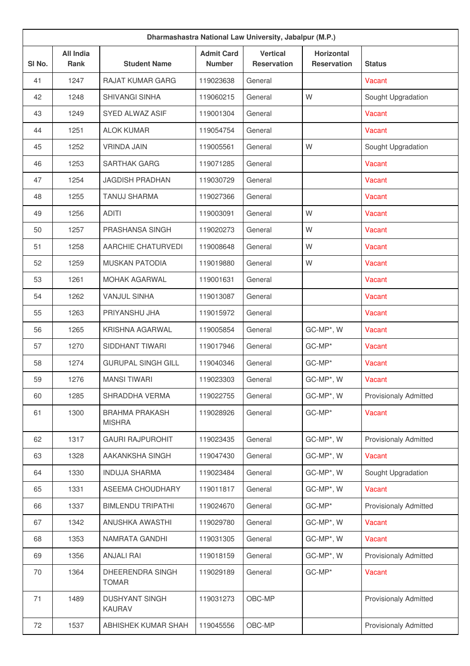| Dharmashastra National Law University, Jabalpur (M.P.) |                          |                                        |                                    |                                       |                                         |                              |  |  |
|--------------------------------------------------------|--------------------------|----------------------------------------|------------------------------------|---------------------------------------|-----------------------------------------|------------------------------|--|--|
| SI No.                                                 | <b>All India</b><br>Rank | <b>Student Name</b>                    | <b>Admit Card</b><br><b>Number</b> | <b>Vertical</b><br><b>Reservation</b> | <b>Horizontal</b><br><b>Reservation</b> | <b>Status</b>                |  |  |
| 41                                                     | 1247                     | <b>RAJAT KUMAR GARG</b>                | 119023638                          | General                               |                                         | Vacant                       |  |  |
| 42                                                     | 1248                     | <b>SHIVANGI SINHA</b>                  | 119060215                          | General                               | W                                       | Sought Upgradation           |  |  |
| 43                                                     | 1249                     | SYED ALWAZ ASIF                        | 119001304                          | General                               |                                         | Vacant                       |  |  |
| 44                                                     | 1251                     | <b>ALOK KUMAR</b>                      | 119054754                          | General                               |                                         | Vacant                       |  |  |
| 45                                                     | 1252                     | <b>VRINDA JAIN</b>                     | 119005561                          | General                               | W                                       | Sought Upgradation           |  |  |
| 46                                                     | 1253                     | <b>SARTHAK GARG</b>                    | 119071285                          | General                               |                                         | Vacant                       |  |  |
| 47                                                     | 1254                     | <b>JAGDISH PRADHAN</b>                 | 119030729                          | General                               |                                         | Vacant                       |  |  |
| 48                                                     | 1255                     | <b>TANUJ SHARMA</b>                    | 119027366                          | General                               |                                         | <b>Vacant</b>                |  |  |
| 49                                                     | 1256                     | <b>ADITI</b>                           | 119003091                          | General                               | W                                       | Vacant                       |  |  |
| 50                                                     | 1257                     | PRASHANSA SINGH                        | 119020273                          | General                               | W                                       | Vacant                       |  |  |
| 51                                                     | 1258                     | AARCHIE CHATURVEDI                     | 119008648                          | General                               | W                                       | Vacant                       |  |  |
| 52                                                     | 1259                     | <b>MUSKAN PATODIA</b>                  | 119019880                          | General                               | W                                       | Vacant                       |  |  |
| 53                                                     | 1261                     | MOHAK AGARWAL                          | 119001631                          | General                               |                                         | Vacant                       |  |  |
| 54                                                     | 1262                     | <b>VANJUL SINHA</b>                    | 119013087                          | General                               |                                         | Vacant                       |  |  |
| 55                                                     | 1263                     | PRIYANSHU JHA                          | 119015972                          | General                               |                                         | Vacant                       |  |  |
| 56                                                     | 1265                     | KRISHNA AGARWAL                        | 119005854                          | General                               | GC-MP*, W                               | Vacant                       |  |  |
| 57                                                     | 1270                     | SIDDHANT TIWARI                        | 119017946                          | General                               | GC-MP*                                  | Vacant                       |  |  |
| 58                                                     | 1274                     | <b>GURUPAL SINGH GILL</b>              | 119040346                          | General                               | GC-MP*                                  | Vacant                       |  |  |
| 59                                                     | 1276                     | <b>MANSI TIWARI</b>                    | 119023303                          | General                               | GC-MP*, W                               | Vacant                       |  |  |
| 60                                                     | 1285                     | SHRADDHA VERMA                         | 119022755                          | General                               | GC-MP*, W                               | <b>Provisionaly Admitted</b> |  |  |
| 61                                                     | 1300                     | <b>BRAHMA PRAKASH</b><br><b>MISHRA</b> | 119028926                          | General                               | GC-MP*                                  | <b>Vacant</b>                |  |  |
| 62                                                     | 1317                     | <b>GAURI RAJPUROHIT</b>                | 119023435                          | General                               | GC-MP*, W                               | Provisionaly Admitted        |  |  |
| 63                                                     | 1328                     | AAKANKSHA SINGH                        | 119047430                          | General                               | GC-MP*, W                               | Vacant                       |  |  |
| 64                                                     | 1330                     | <b>INDUJA SHARMA</b>                   | 119023484                          | General                               | GC-MP*, W                               | Sought Upgradation           |  |  |
| 65                                                     | 1331                     | ASEEMA CHOUDHARY                       | 119011817                          | General                               | GC-MP*, W                               | Vacant                       |  |  |
| 66                                                     | 1337                     | <b>BIMLENDU TRIPATHI</b>               | 119024670                          | General                               | GC-MP*                                  | <b>Provisionaly Admitted</b> |  |  |
| 67                                                     | 1342                     | ANUSHKA AWASTHI                        | 119029780                          | General                               | GC-MP*, W                               | Vacant                       |  |  |
| 68                                                     | 1353                     | NAMRATA GANDHI                         | 119031305                          | General                               | GC-MP*, W                               | Vacant                       |  |  |
| 69                                                     | 1356                     | <b>ANJALI RAI</b>                      | 119018159                          | General                               | GC-MP*, W                               | <b>Provisionaly Admitted</b> |  |  |
| 70                                                     | 1364                     | DHEERENDRA SINGH<br><b>TOMAR</b>       | 119029189                          | General                               | GC-MP*                                  | Vacant                       |  |  |
| 71                                                     | 1489                     | <b>DUSHYANT SINGH</b><br><b>KAURAV</b> | 119031273                          | OBC-MP                                |                                         | <b>Provisionaly Admitted</b> |  |  |
| 72                                                     | 1537                     | ABHISHEK KUMAR SHAH                    | 119045556                          | OBC-MP                                |                                         | <b>Provisionaly Admitted</b> |  |  |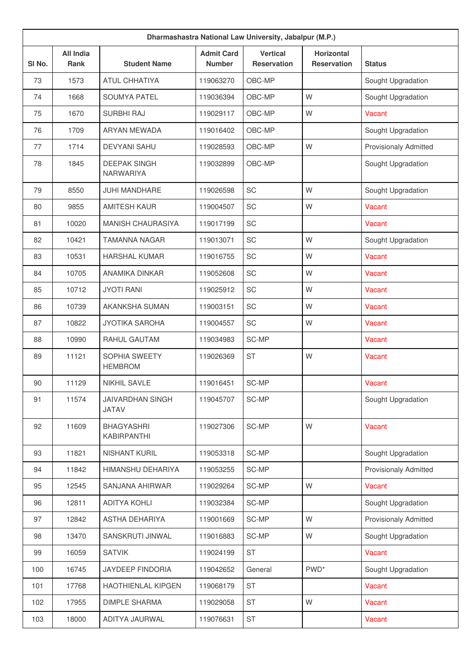| Dharmashastra National Law University, Jabalpur (M.P.) |                          |                                         |                                    |                                       |                                         |                              |  |  |
|--------------------------------------------------------|--------------------------|-----------------------------------------|------------------------------------|---------------------------------------|-----------------------------------------|------------------------------|--|--|
| SI No.                                                 | <b>All India</b><br>Rank | <b>Student Name</b>                     | <b>Admit Card</b><br><b>Number</b> | <b>Vertical</b><br><b>Reservation</b> | <b>Horizontal</b><br><b>Reservation</b> | <b>Status</b>                |  |  |
| 73                                                     | 1573                     | <b>ATUL CHHATIYA</b>                    | 119063270                          | OBC-MP                                |                                         | Sought Upgradation           |  |  |
| 74                                                     | 1668                     | <b>SOUMYA PATEL</b>                     | 119036394                          | OBC-MP                                | W                                       | Sought Upgradation           |  |  |
| 75                                                     | 1670                     | <b>SURBHI RAJ</b>                       | 119029117                          | OBC-MP                                | W                                       | Vacant                       |  |  |
| 76                                                     | 1709                     | <b>ARYAN MEWADA</b>                     | 119016402                          | OBC-MP                                |                                         | Sought Upgradation           |  |  |
| 77                                                     | 1714                     | <b>DEVYANI SAHU</b>                     | 119028593                          | OBC-MP                                | W                                       | Provisionaly Admitted        |  |  |
| 78                                                     | 1845                     | <b>DEEPAK SINGH</b><br>NARWARIYA        | 119032899                          | OBC-MP                                |                                         | Sought Upgradation           |  |  |
| 79                                                     | 8550                     | <b>JUHI MANDHARE</b>                    | 119026598                          | SC                                    | W                                       | Sought Upgradation           |  |  |
| 80                                                     | 9855                     | <b>AMITESH KAUR</b>                     | 119004507                          | SC                                    | W                                       | Vacant                       |  |  |
| 81                                                     | 10020                    | <b>MANISH CHAURASIYA</b>                | 119017199                          | SC                                    |                                         | Vacant                       |  |  |
| 82                                                     | 10421                    | <b>TAMANNA NAGAR</b>                    | 119013071                          | SC                                    | W                                       | Sought Upgradation           |  |  |
| 83                                                     | 10531                    | <b>HARSHAL KUMAR</b>                    | 119016755                          | SC                                    | W                                       | Vacant                       |  |  |
| 84                                                     | 10705                    | ANAMIKA DINKAR                          | 119052608                          | SC                                    | W                                       | Vacant                       |  |  |
| 85                                                     | 10712                    | <b>JYOTI RANI</b>                       | 119025912                          | SC                                    | W                                       | Vacant                       |  |  |
| 86                                                     | 10739                    | AKANKSHA SUMAN                          | 119003151                          | SC                                    | W                                       | Vacant                       |  |  |
| 87                                                     | 10822                    | <b>JYOTIKA SAROHA</b>                   | 119004557                          | SC                                    | W                                       | Vacant                       |  |  |
| 88                                                     | 10990                    | RAHUL GAUTAM                            | 119034983                          | SC-MP                                 |                                         | Vacant                       |  |  |
| 89                                                     | 11121                    | SOPHIA SWEETY<br><b>HEMBROM</b>         | 119026369                          | <b>ST</b>                             | W                                       | Vacant                       |  |  |
| 90                                                     | 11129                    | NIKHIL SAVLE                            | 119016451                          | SC-MP                                 |                                         | Vacant                       |  |  |
| 91                                                     | 11574                    | <b>JAIVARDHAN SINGH</b><br><b>JATAV</b> | 119045707                          | SC-MP                                 |                                         | Sought Upgradation           |  |  |
| 92                                                     | 11609                    | <b>BHAGYASHRI</b><br>KABIRPANTHI        | 119027306                          | SC-MP                                 | W                                       | Vacant                       |  |  |
| 93                                                     | 11821                    | <b>NISHANT KURIL</b>                    | 119053318                          | SC-MP                                 |                                         | Sought Upgradation           |  |  |
| 94                                                     | 11842                    | HIMANSHU DEHARIYA                       | 119053255                          | SC-MP                                 |                                         | <b>Provisionaly Admitted</b> |  |  |
| 95                                                     | 12545                    | SANJANA AHIRWAR                         | 119029264                          | SC-MP                                 | W                                       | Vacant                       |  |  |
| 96                                                     | 12811                    | <b>ADITYA KOHLI</b>                     | 119032384                          | SC-MP                                 |                                         | Sought Upgradation           |  |  |
| 97                                                     | 12842                    | ASTHA DEHARIYA                          | 119001669                          | SC-MP                                 | W                                       | <b>Provisionaly Admitted</b> |  |  |
| 98                                                     | 13470                    | SANSKRUTI JINWAL                        | 119016883                          | SC-MP                                 | W                                       | Sought Upgradation           |  |  |
| 99                                                     | 16059                    | <b>SATVIK</b>                           | 119024199                          | <b>ST</b>                             |                                         | Vacant                       |  |  |
| 100                                                    | 16745                    | JAYDEEP FINDORIA                        | 119042652                          | General                               | PWD <sup>*</sup>                        | Sought Upgradation           |  |  |
| 101                                                    | 17768                    | <b>HAOTHIENLAL KIPGEN</b>               | 119068179                          | <b>ST</b>                             |                                         | Vacant                       |  |  |
| 102                                                    | 17955                    | <b>DIMPLE SHARMA</b>                    | 119029058                          | <b>ST</b>                             | W                                       | Vacant                       |  |  |
| 103                                                    | 18000                    | ADITYA JAURWAL                          | 119076631                          | ST                                    |                                         | Vacant                       |  |  |